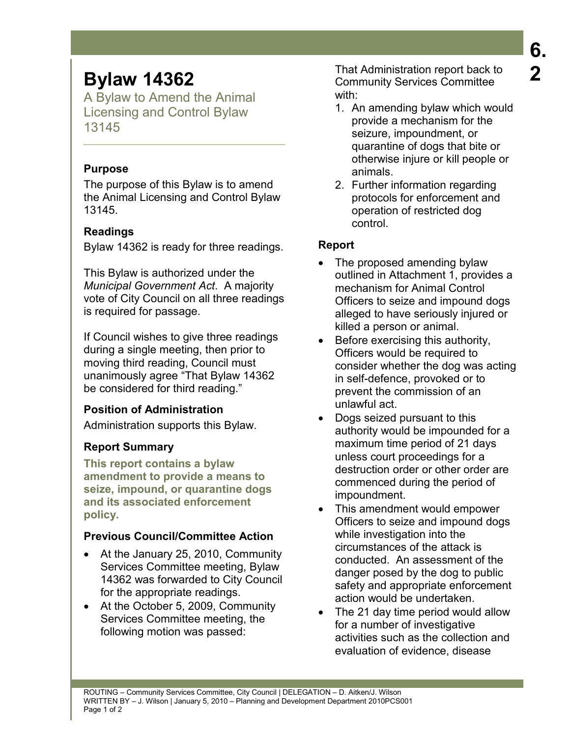# **Bylaw 14362**

A Bylaw to Amend the Animal Licensing and Control Bylaw 13145

#### **Purpose**

The purpose of this Bylaw is to amend the Animal Licensing and Control Bylaw 13145.

## **Readings**

Bylaw 14362 is ready for three readings.

This Bylaw is authorized under the *Municipal Government Act*. A majority vote of City Council on all three readings is required for passage.

If Council wishes to give three readings during a single meeting, then prior to moving third reading, Council must unanimously agree "That Bylaw 14362 be considered for third reading."

## **Position of Administration**

Administration supports this Bylaw.

## **Report Summary**

**This report contains a bylaw amendment to provide a means to seize, impound, or quarantine dogs and its associated enforcement policy.** 

## **Previous Council/Committee Action**

- At the January 25, 2010, Community Services Committee meeting, Bylaw 14362 was forwarded to City Council for the appropriate readings.
- At the October 5, 2009, Community Services Committee meeting, the following motion was passed:

That Administration report back to Community Services Committee with:

- 1. An amending bylaw which would provide a mechanism for the seizure, impoundment, or quarantine of dogs that bite or otherwise injure or kill people or animals.
- 2. Further information regarding protocols for enforcement and operation of restricted dog control.

## **Report**

- The proposed amending bylaw outlined in Attachment 1, provides a mechanism for Animal Control Officers to seize and impound dogs alleged to have seriously injured or killed a person or animal.
- Before exercising this authority, Officers would be required to consider whether the dog was acting in self-defence, provoked or to prevent the commission of an unlawful act.
- Dogs seized pursuant to this authority would be impounded for a maximum time period of 21 days unless court proceedings for a destruction order or other order are commenced during the period of impoundment.
- This amendment would empower Officers to seize and impound dogs while investigation into the circumstances of the attack is conducted. An assessment of the danger posed by the dog to public safety and appropriate enforcement action would be undertaken.
- The 21 day time period would allow for a number of investigative activities such as the collection and evaluation of evidence, disease